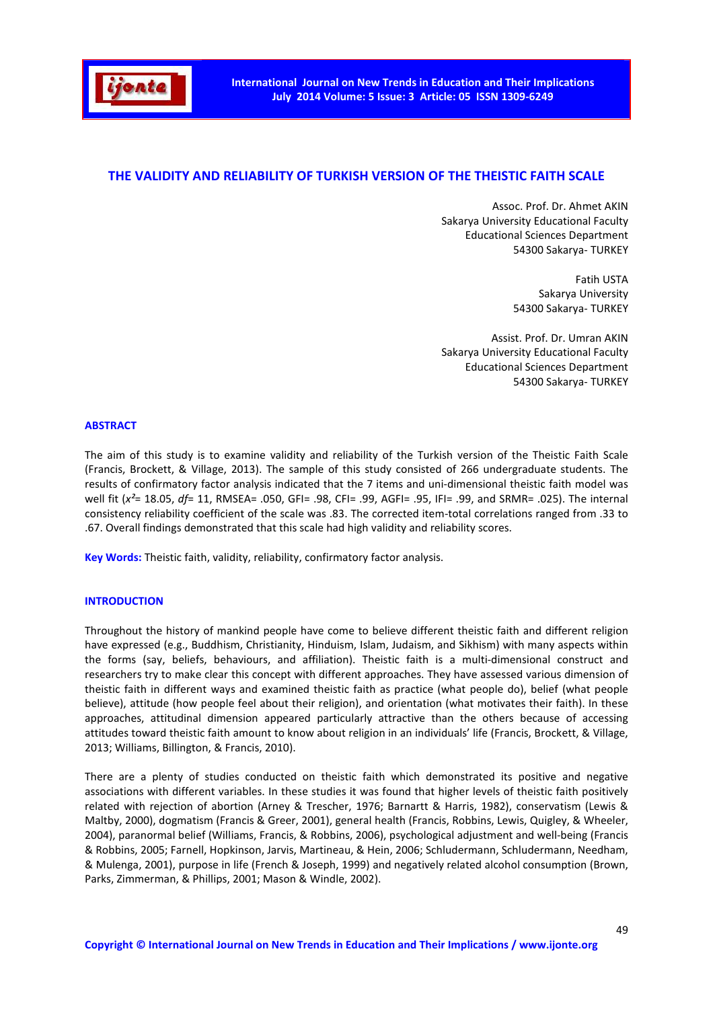

# **THE VALIDITY AND RELIABILITY OF TURKISH VERSION OF THE THEISTIC FAITH SCALE**

Assoc. Prof. Dr. Ahmet AKIN Sakarya University Educational Faculty Educational Sciences Department 54300 Sakarya- TURKEY

> Fatih USTA Sakarya University 54300 Sakarya- TURKEY

Assist. Prof. Dr. Umran AKIN Sakarya University Educational Faculty Educational Sciences Department 54300 Sakarya- TURKEY

# **ABSTRACT**

The aim of this study is to examine validity and reliability of the Turkish version of the Theistic Faith Scale (Francis, Brockett, & Village, 2013). The sample of this study consisted of 266 undergraduate students. The results of confirmatory factor analysis indicated that the 7 items and uni-dimensional theistic faith model was well fit (*x²*= 18.05, *df*= 11, RMSEA= .050, GFI= .98, CFI= .99, AGFI= .95, IFI= .99, and SRMR= .025). The internal consistency reliability coefficient of the scale was .83. The corrected item-total correlations ranged from .33 to .67. Overall findings demonstrated that this scale had high validity and reliability scores.

**Key Words:** Theistic faith, validity, reliability, confirmatory factor analysis.

#### **INTRODUCTION**

Throughout the history of mankind people have come to believe different theistic faith and different religion have expressed (e.g., Buddhism, Christianity, Hinduism, Islam, Judaism, and Sikhism) with many aspects within the forms (say, beliefs, behaviours, and affiliation). Theistic faith is a multi-dimensional construct and researchers try to make clear this concept with different approaches. They have assessed various dimension of theistic faith in different ways and examined theistic faith as practice (what people do), belief (what people believe), attitude (how people feel about their religion), and orientation (what motivates their faith). In these approaches, attitudinal dimension appeared particularly attractive than the others because of accessing attitudes toward theistic faith amount to know about religion in an individuals' life (Francis, Brockett, & Village, 2013; Williams, Billington, & Francis, 2010).

There are a plenty of studies conducted on theistic faith which demonstrated its positive and negative associations with different variables. In these studies it was found that higher levels of theistic faith positively related with rejection of abortion (Arney & Trescher, 1976; Barnartt & Harris, 1982), conservatism (Lewis & Maltby, 2000), dogmatism (Francis & Greer, 2001), general health (Francis, Robbins, Lewis, Quigley, & Wheeler, 2004), paranormal belief (Williams, Francis, & Robbins, 2006), psychological adjustment and well-being (Francis & Robbins, 2005; Farnell, Hopkinson, Jarvis, Martineau, & Hein, 2006; Schludermann, Schludermann, Needham, & Mulenga, 2001), purpose in life (French & Joseph, 1999) and negatively related alcohol consumption (Brown, Parks, Zimmerman, & Phillips, 2001; Mason & Windle, 2002).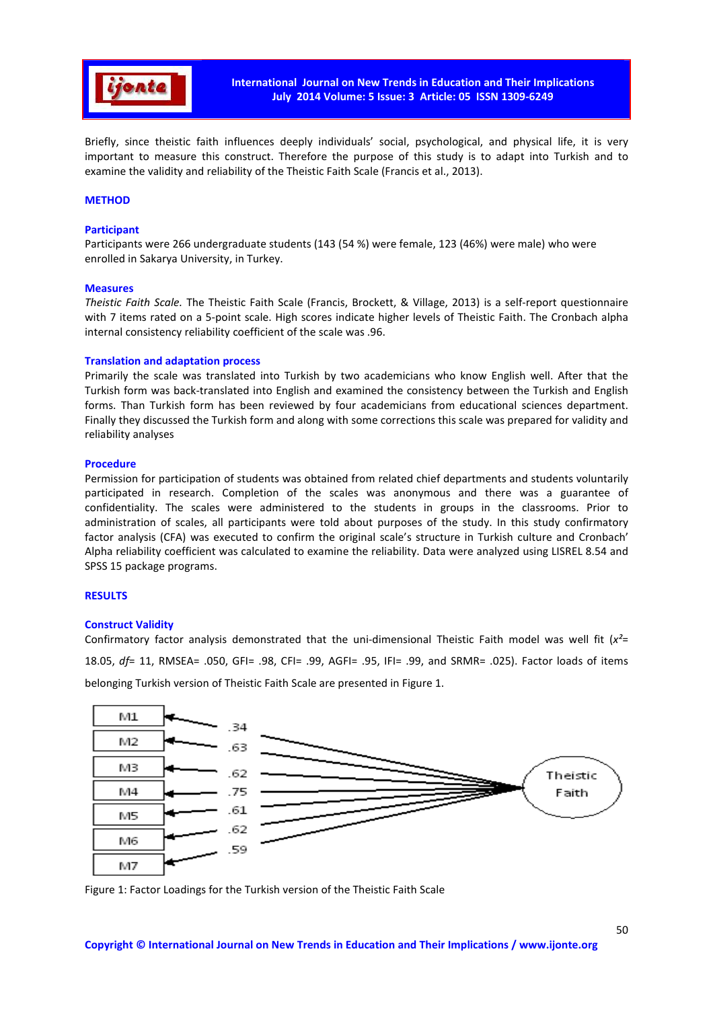

Briefly, since theistic faith influences deeply individuals' social, psychological, and physical life, it is very important to measure this construct. Therefore the purpose of this study is to adapt into Turkish and to examine the validity and reliability of the Theistic Faith Scale (Francis et al., 2013).

# **METHOD**

# **Participant**

Participants were 266 undergraduate students (143 (54 %) were female, 123 (46%) were male) who were enrolled in Sakarya University, in Turkey.

#### **Measures**

*Theistic Faith Scale.* The Theistic Faith Scale (Francis, Brockett, & Village, 2013) is a self-report questionnaire with 7 items rated on a 5-point scale. High scores indicate higher levels of Theistic Faith. The Cronbach alpha internal consistency reliability coefficient of the scale was .96.

#### **Translation and adaptation process**

Primarily the scale was translated into Turkish by two academicians who know English well. After that the Turkish form was back-translated into English and examined the consistency between the Turkish and English forms. Than Turkish form has been reviewed by four academicians from educational sciences department. Finally they discussed the Turkish form and along with some corrections this scale was prepared for validity and reliability analyses

#### **Procedure**

Permission for participation of students was obtained from related chief departments and students voluntarily participated in research. Completion of the scales was anonymous and there was a guarantee of confidentiality. The scales were administered to the students in groups in the classrooms. Prior to administration of scales, all participants were told about purposes of the study. In this study confirmatory factor analysis (CFA) was executed to confirm the original scale's structure in Turkish culture and Cronbach' Alpha reliability coefficient was calculated to examine the reliability. Data were analyzed using LISREL 8.54 and SPSS 15 package programs.

### **RESULTS**

#### **Construct Validity**

Confirmatory factor analysis demonstrated that the uni-dimensional Theistic Faith model was well fit (*x²*= 18.05, *df*= 11, RMSEA= .050, GFI= .98, CFI= .99, AGFI= .95, IFI= .99, and SRMR= .025). Factor loads of items belonging Turkish version of Theistic Faith Scale are presented in Figure 1.



Figure 1: Factor Loadings for the Turkish version of the Theistic Faith Scale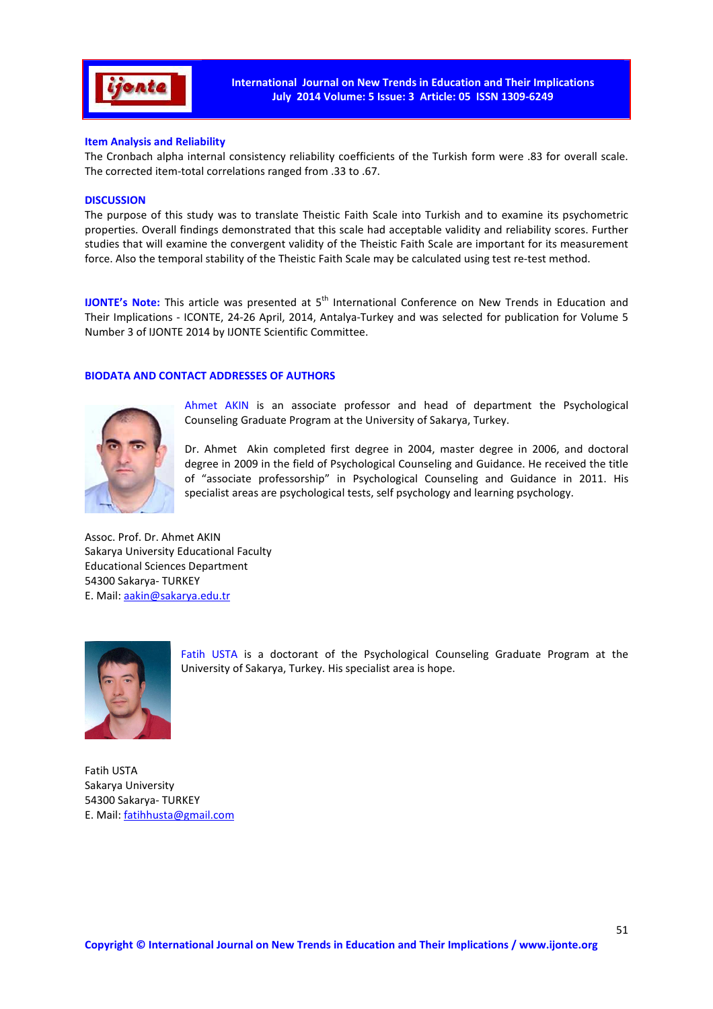

# **Item Analysis and Reliability**

The Cronbach alpha internal consistency reliability coefficients of the Turkish form were .83 for overall scale. The corrected item-total correlations ranged from .33 to .67.

### **DISCUSSION**

The purpose of this study was to translate Theistic Faith Scale into Turkish and to examine its psychometric properties. Overall findings demonstrated that this scale had acceptable validity and reliability scores. Further studies that will examine the convergent validity of the Theistic Faith Scale are important for its measurement force. Also the temporal stability of the Theistic Faith Scale may be calculated using test re-test method.

**IJONTE's Note:** This article was presented at 5<sup>th</sup> International Conference on New Trends in Education and Their Implications - ICONTE, 24-26 April, 2014, Antalya-Turkey and was selected for publication for Volume 5 Number 3 of IJONTE 2014 by IJONTE Scientific Committee.

# **BIODATA AND CONTACT ADDRESSES OF AUTHORS**



Ahmet AKIN is an associate professor and head of department the Psychological Counseling Graduate Program at the University of Sakarya, Turkey.

Dr. Ahmet Akin completed first degree in 2004, master degree in 2006, and doctoral degree in 2009 in the field of Psychological Counseling and Guidance. He received the title of "associate professorship" in Psychological Counseling and Guidance in 2011. His specialist areas are psychological tests, self psychology and learning psychology.

Assoc. Prof. Dr. Ahmet AKIN Sakarya University Educational Faculty Educational Sciences Department 54300 Sakarya- TURKEY E. Mail: aakin@sakarya.edu.tr



Fatih USTA is a doctorant of the Psychological Counseling Graduate Program at the University of Sakarya, Turkey. His specialist area is hope.

Fatih USTA Sakarya University 54300 Sakarya- TURKEY E. Mail: fatihhusta@gmail.com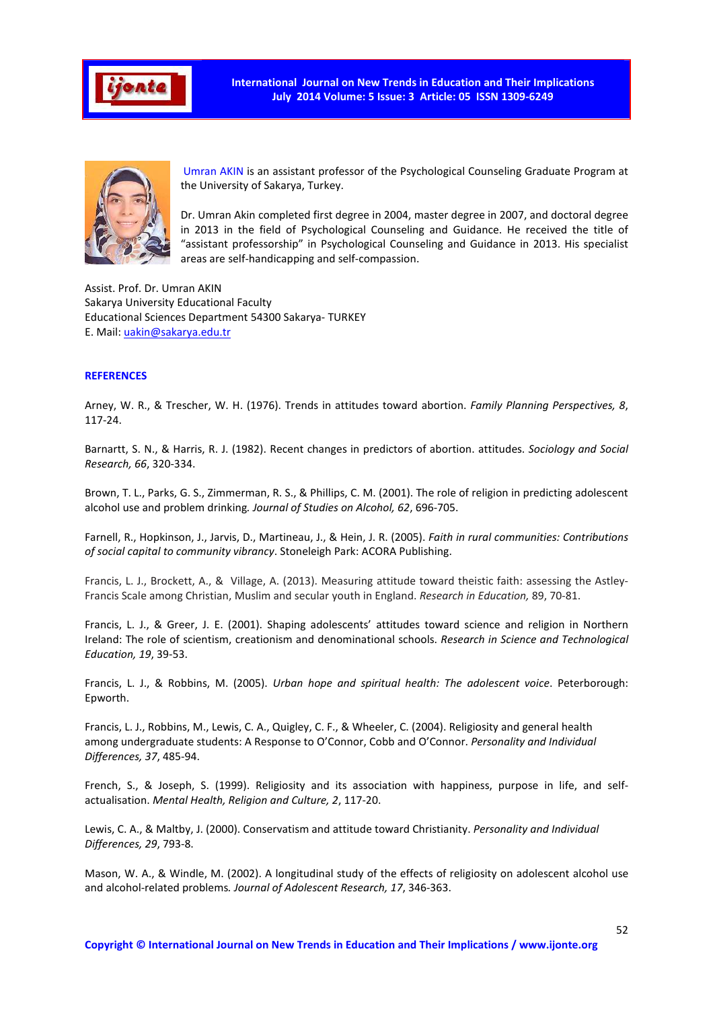

**International Journal on New Trends in Education and Their Implications July 2014 Volume: 5 Issue: 3 Article: 05 ISSN 1309-6249** 



 Umran AKIN is an assistant professor of the Psychological Counseling Graduate Program at the University of Sakarya, Turkey.

Dr. Umran Akin completed first degree in 2004, master degree in 2007, and doctoral degree in 2013 in the field of Psychological Counseling and Guidance. He received the title of "assistant professorship" in Psychological Counseling and Guidance in 2013. His specialist areas are self-handicapping and self-compassion.

Assist. Prof. Dr. Umran AKIN Sakarya University Educational Faculty Educational Sciences Department 54300 Sakarya- TURKEY E. Mail: uakin@sakarya.edu.tr

# **REFERENCES**

Arney, W. R., & Trescher, W. H. (1976). Trends in attitudes toward abortion. *Family Planning Perspectives, 8*, 117-24.

Barnartt, S. N., & Harris, R. J. (1982). Recent changes in predictors of abortion. attitudes. *Sociology and Social Research, 66*, 320-334.

Brown, T. L., Parks, G. S., Zimmerman, R. S., & Phillips, C. M. (2001). The role of religion in predicting adolescent alcohol use and problem drinking*. Journal of Studies on Alcohol, 62*, 696-705.

Farnell, R., Hopkinson, J., Jarvis, D., Martineau, J., & Hein, J. R. (2005). *Faith in rural communities: Contributions of social capital to community vibrancy*. Stoneleigh Park: ACORA Publishing.

Francis, L. J., Brockett, A., & Village, A. (2013). Measuring attitude toward theistic faith: assessing the Astley-Francis Scale among Christian, Muslim and secular youth in England. *Research in Education,* 89, 70-81.

Francis, L. J., & Greer, J. E. (2001). Shaping adolescents' attitudes toward science and religion in Northern Ireland: The role of scientism, creationism and denominational schools. *Research in Science and Technological Education, 19*, 39-53.

Francis, L. J., & Robbins, M. (2005). *Urban hope and spiritual health: The adolescent voice*. Peterborough: Epworth.

Francis, L. J., Robbins, M., Lewis, C. A., Quigley, C. F., & Wheeler, C. (2004). Religiosity and general health among undergraduate students: A Response to O'Connor, Cobb and O'Connor. *Personality and Individual Differences, 37*, 485-94.

French, S., & Joseph, S. (1999). Religiosity and its association with happiness, purpose in life, and selfactualisation. *Mental Health, Religion and Culture, 2*, 117-20.

Lewis, C. A., & Maltby, J. (2000). Conservatism and attitude toward Christianity. *Personality and Individual Differences, 29*, 793-8.

Mason, W. A., & Windle, M. (2002). A longitudinal study of the effects of religiosity on adolescent alcohol use and alcohol-related problems*. Journal of Adolescent Research, 17*, 346-363.